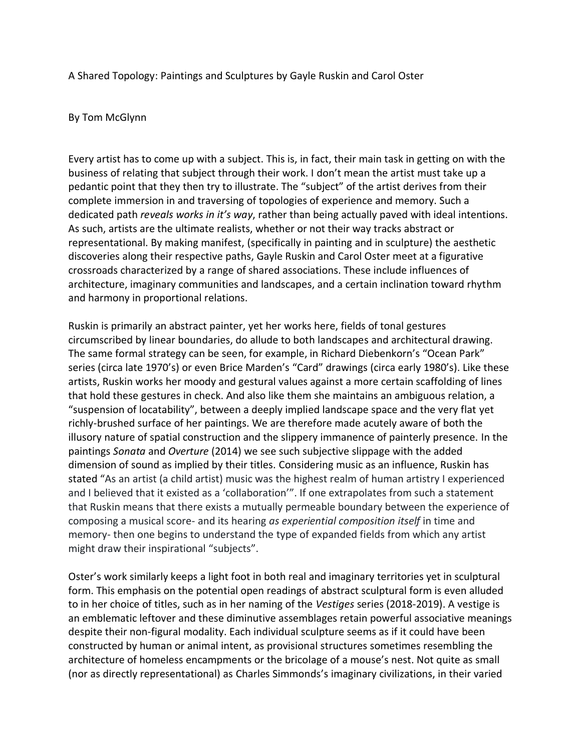A Shared Topology: Paintings and Sculptures by Gayle Ruskin and Carol Oster

## By Tom McGlynn

Every artist has to come up with a subject. This is, in fact, their main task in getting on with the business of relating that subject through their work. I don't mean the artist must take up a pedantic point that they then try to illustrate. The "subject" of the artist derives from their complete immersion in and traversing of topologies of experience and memory. Such a dedicated path *reveals works in it's way*, rather than being actually paved with ideal intentions. As such, artists are the ultimate realists, whether or not their way tracks abstract or representational. By making manifest, (specifically in painting and in sculpture) the aesthetic discoveries along their respective paths, Gayle Ruskin and Carol Oster meet at a figurative crossroads characterized by a range of shared associations. These include influences of architecture, imaginary communities and landscapes, and a certain inclination toward rhythm and harmony in proportional relations.

Ruskin is primarily an abstract painter, yet her works here, fields of tonal gestures circumscribed by linear boundaries, do allude to both landscapes and architectural drawing. The same formal strategy can be seen, for example, in Richard Diebenkorn's "Ocean Park" series (circa late 1970's) or even Brice Marden's "Card" drawings (circa early 1980's). Like these artists, Ruskin works her moody and gestural values against a more certain scaffolding of lines that hold these gestures in check. And also like them she maintains an ambiguous relation, a "suspension of locatability", between a deeply implied landscape space and the very flat yet richly-brushed surface of her paintings. We are therefore made acutely aware of both the illusory nature of spatial construction and the slippery immanence of painterly presence. In the paintings *Sonata* and *Overture* (2014) we see such subjective slippage with the added dimension of sound as implied by their titles. Considering music as an influence, Ruskin has stated "As an artist (a child artist) music was the highest realm of human artistry I experienced and I believed that it existed as a 'collaboration'". If one extrapolates from such a statement that Ruskin means that there exists a mutually permeable boundary between the experience of composing a musical score- and its hearing *as experiential composition itself* in time and memory- then one begins to understand the type of expanded fields from which any artist might draw their inspirational "subjects".

Oster's work similarly keeps a light foot in both real and imaginary territories yet in sculptural form. This emphasis on the potential open readings of abstract sculptural form is even alluded to in her choice of titles, such as in her naming of the *Vestiges* series (2018-2019). A vestige is an emblematic leftover and these diminutive assemblages retain powerful associative meanings despite their non-figural modality. Each individual sculpture seems as if it could have been constructed by human or animal intent, as provisional structures sometimes resembling the architecture of homeless encampments or the bricolage of a mouse's nest. Not quite as small (nor as directly representational) as Charles Simmonds's imaginary civilizations, in their varied